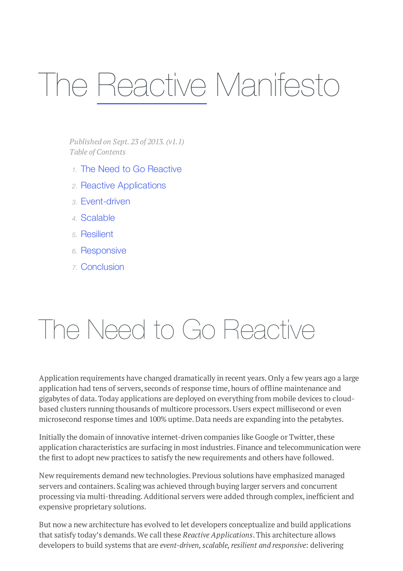# The Reactive Manifesto

*Published on Sept. 23 of 2013.(v1.1) Table of Contents*

- *1.* The Need to Go Reactive
- *2.* Reactive Applications
- *3.* Event-driven
- *4.* Scalable
- *5.* Resilient
- *6.* Responsive
- *7.* Conclusion

### The Need to Go Reactive

Application requirements have changed dramatically in recent years. Only a few years ago a large application had tens of servers, seconds of response time, hours of offline maintenance and gigabytes of data.Today applications are deployed on everything from mobile devices to cloudbased clusters running thousands of multicore processors.Users expect millisecond or even microsecond response times and 100% uptime. Data needs are expanding into the petabytes.

Initially the domain of innovative internet-driven companies like Google or Twitter, these application characteristics are surfacing in most industries. Finance and telecommunication were the first to adopt new practices to satisfy the new requirements and others have followed.

New requirements demand new technologies. Previous solutions have emphasized managed servers and containers. Scaling was achieved through buying larger servers and concurrent processing via multi-threading. Additional servers were added through complex, inefficient and expensive proprietary solutions.

But now a new architecture has evolved to let developers conceptualize and build applications that satisfy today's demands.We call these *Reactive Applications*.This architecture allows developers to build systems that are *event-driven, scalable,resilient and responsive*: delivering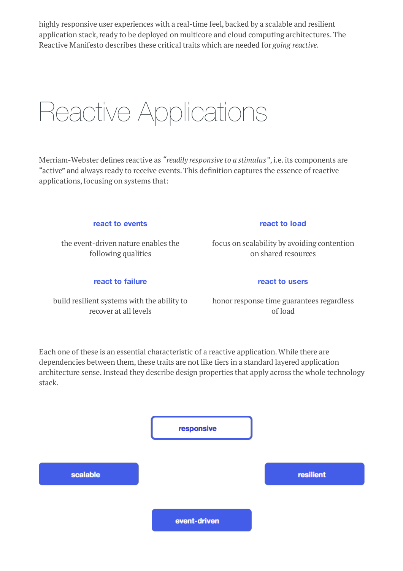highly responsive user experiences with a real-time feel, backed by a scalable and resilient application stack, ready to be deployed on multicore and cloud computing architectures. The Reactive Manifesto describes these critical traits which are needed for *going reactive*.

### Reactive Applications

Merriam-Webster defines reactive as *"readily responsive to a stimulus"*,i.e.its components are "active" and always ready to receive events.This definition captures the essence of reactive applications, focusing on systems that:

#### **react to events**

the event-driven nature enables the following qualities

#### **react to failure**

build resilient systems with the ability to recover at all levels

#### **react to load**

focus on scalability by avoiding contention on shared resources

#### **react to users**

honor response time guarantees regardless of load

Each one of these is an essential characteristic of a reactive application.While there are dependencies between them, these traits are not like tiers in a standard layered application architecture sense.Instead they describe design properties that apply across the whole technology stack.

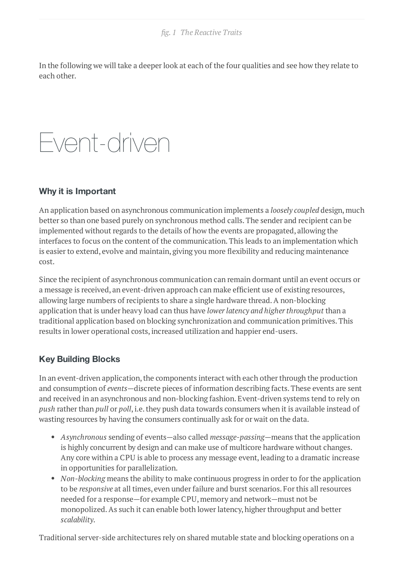In the following we will take a deeper look at each of the four qualities and see how they relate to each other.

# Event-driven

#### **Why it is Important**

An application based on asynchronous communication implements a *loosely coupled* design, much better so than one based purely on synchronous method calls.The sender and recipient can be implemented without regards to the details of how the events are propagated, allowing the interfaces to focus on the content of the communication.This leads to an implementation which is easier to extend, evolve and maintain, giving you more flexibility and reducing maintenance cost.

Since the recipient of asynchronous communication can remain dormant until an event occurs or a message is received, an event-driven approach can make efficient use of existing resources, allowing large numbers of recipients to share a single hardware thread.A non-blocking application that is under heavy load can thus have *lowerlatency and higherthroughput* than a traditional application based on blocking synchronization and communication primitives.This results in lower operational costs, increased utilization and happier end-users.

### **Key Building Blocks**

In an event-driven application, the components interact with each other through the production and consumption of *events*—discrete pieces of information describing facts.These events are sent and received in an asynchronous and non-blocking fashion. Event-driven systems tend to rely on *push* rather than *pull* or *poll*, i.e. they push data towards consumers when it is available instead of wasting resources by having the consumers continually ask for or wait on the data.

- *Asynchronous* sending of events—also called *message-passing*—means that the application is highly concurrent by design and can make use of multicore hardware without changes. Any core within a CPU is able to process any message event, leading to a dramatic increase in opportunities for parallelization.
- *Non-blocking* means the ability to make continuous progress in order to for the application to be *responsive* at all times, even under failure and burst scenarios. For this all resources needed for a response—for example CPU, memory and network—must not be monopolized. As such it can enable both lower latency, higher throughput and better *scalability*.

Traditional server-side architectures rely on shared mutable state and blocking operations on a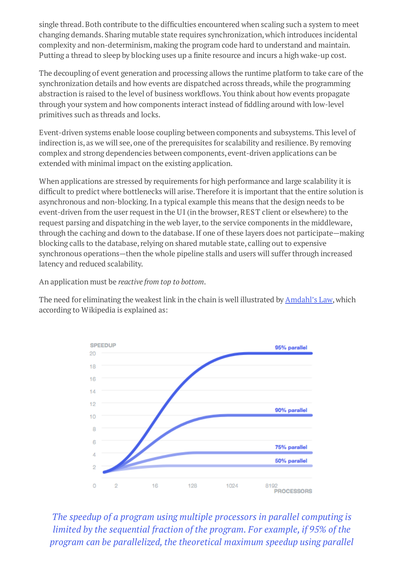single thread.Both contribute to the difficulties encountered when scaling such a system to meet changing demands. Sharing mutable state requires synchronization,which introduces incidental complexity and non-determinism, making the program code hard to understand and maintain. Putting a thread to sleep by blocking uses up a finite resource and incurs a high wake-up cost.

The decoupling of event generation and processing allows the runtime platform to take care of the synchronization details and how events are dispatched across threads,while the programming abstraction is raised to the level of business workflows.You think about how events propagate through your system and how components interact instead of fiddling around with low-level primitives such as threads and locks.

Event-driven systems enable loose coupling between components and subsystems.This level of indirection is, as we will see, one of the prerequisites for scalability and resilience. By removing complex and strong dependencies between components, event-driven applications can be extended with minimal impact on the existing application.

When applications are stressed by requirements for high performance and large scalability it is difficult to predict where bottlenecks will arise.Therefore it is important that the entire solution is asynchronous and non-blocking.In a typical example this means that the design needs to be event-driven from the user request in the UI (in the browser, REST client or elsewhere) to the request parsing and dispatching in the web layer, to the service components in the middleware, through the caching and down to the database. If one of these layers does not participate—making blocking calls to the database, relying on shared mutable state, calling out to expensive synchronous operations—then the whole pipeline stalls and users will suffer through increased latency and reduced scalability.

An application must be *reactive from top to bottom*.

The need for eliminating the weakest link in the chain is well illustrated by **[Amdahl's](http://en.wikipedia.org/wiki/Amdahl%27s_law) Law**, which according to Wikipedia is explained as:



*The speedup of a program using multiple processors in parallel computing is limited by the sequential fraction of the program. For example, if 95% of the program can be parallelized, the theoretical maximum speedup using parallel*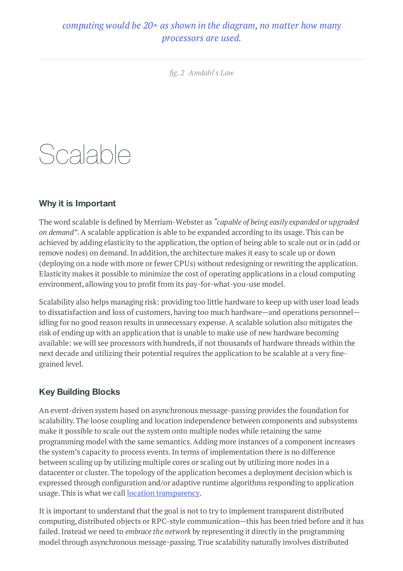### *computing would be 20× as shown in the diagram, no matter how many processors are used.*

*fig. 2 Amdahl's Law*

# Scalable

### **Why it is Important**

The word scalable is defined by Merriam-Webster as *"capable of being easily expanded or upgraded on demand"*.A scalable application is able to be expanded according to its usage.This can be achieved by adding elasticity to the application, the option of being able to scale out or in (add or remove nodes) on demand. In addition, the architecture makes it easy to scale up or down (deploying on a node with more or fewer CPUs) without redesigning or rewriting the application. Elasticity makes it possible to minimize the cost of operating applications in a cloud computing environment, allowing you to profit from its pay-for-what-you-use model.

Scalability also helps managing risk: providing too little hardware to keep up with userload leads to dissatisfaction and loss of customers, having too much hardware—and operations personnel idling for no good reason results in unnecessary expense.A scalable solution also mitigates the risk of ending up with an application that is unable to make use of new hardware becoming available: we will see processors with hundreds, if not thousands of hardware threads within the next decade and utilizing their potential requires the application to be scalable at a very finegrained level.

### **Key Building Blocks**

An event-driven system based on asynchronous message-passing provides the foundation for scalability.The loose coupling and location independence between components and subsystems make it possible to scale out the system onto multiple nodes while retaining the same programming model with the same semantics.Adding more instances of a component increases the system's capacity to process events.In terms of implementation there is no difference between scaling up by utilizing multiple cores or scaling out by utilizing more nodes in a datacenter or cluster.The topology of the application becomes a deployment decision which is expressed through configuration and/or adaptive runtime algorithms responding to application usage. This is what we call **location [transparency](http://en.wikipedia.org/wiki/Location_transparency)**.

It is important to understand that the goal is not to try to implement transparent distributed computing, distributed objects or RPC-style communication—this has been tried before and it has failed.Instead we need to *embrace the network* by representing it directly in the programming model through asynchronous message-passing.True scalability naturally involves distributed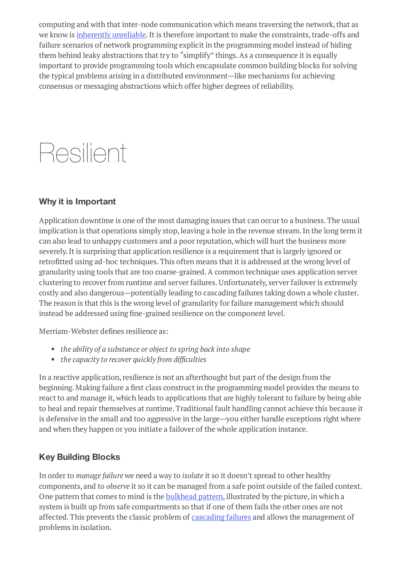computing and with that inter-node communication which means traversing the network, that as we know is *[inherently](http://aphyr.com/posts/288-the-network-is-reliable) unreliable*. It is therefore important to make the constraints, trade-offs and failure scenarios of network programming explicit in the programming model instead of hiding them behind leaky abstractions that try to "simplify" things.As a consequence it is equally important to provide programming tools which encapsulate common building blocks for solving the typical problems arising in a distributed environment—like mechanisms for achieving consensus or messaging abstractions which offer higher degrees of reliability.

# Resilient

### **Why it is Important**

Application downtime is one of the most damaging issues that can occur to a business. The usual implication is that operations simply stop, leaving a hole in the revenue stream. In the long term it can also lead to unhappy customers and a poor reputation, which will hurt the business more severely.It is surprising that application resilience is a requirement that is largely ignored or retrofitted using ad-hoc techniques.This often means that it is addressed at the wrong level of granularity using tools that are too coarse-grained.A common technique uses application server clustering to recover from runtime and server failures. Unfortunately, server failover is extremely costly and also dangerous—potentially leading to cascading failures taking down a whole cluster. The reason is that this is the wrong level of granularity for failure management which should instead be addressed using fine-grained resilience on the component level.

Merriam-Webster defines resilience as:

- *the ability of a substance or object to spring back into shape*
- *the capacity to recover quickly from difficulties*

In a reactive application, resilience is not an afterthought but part of the design from the beginning. Making failure a first class construct in the programming model provides the means to react to and manage it,which leads to applications that are highly tolerant to failure by being able to heal and repair themselves at runtime. Traditional fault handling cannot achieve this because it is defensive in the small and too aggressive in the large—you either handle exceptions right where and when they happen or you initiate a failover of the whole application instance.

### **Key Building Blocks**

In order to *manage failure* we need a way to *isolate* it so it doesn't spread to other healthy components, and to *observe* it so it can be managed from a safe point outside of the failed context. One pattern that comes to mind is the **[bulkhead](http://skife.org/architecture/fault-tolerance/2009/12/31/bulkheads.html) pattern**, illustrated by the picture, in which a system is built up from safe compartments so that if one of them fails the other ones are not affected. This prevents the classic problem of [cascading](http://en.wikipedia.org/wiki/Cascading_failure) failures and allows the management of problems in isolation.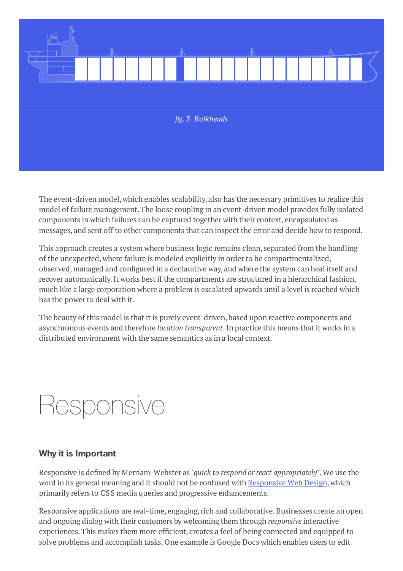

The event-driven model,which enables scalability, also has the necessary primitives to realize this model of failure management.The loose coupling in an event-driven model provides fully isolated components in which failures can be captured together with their context, encapsulated as messages, and sent off to other components that can inspect the error and decide how to respond.

This approach creates a system where business logic remains clean, separated from the handling of the unexpected,where failure is modeled explicitly in orderto be compartmentalized, observed, managed and configured in a declarative way, and where the system can heal itself and recover automatically. It works best if the compartments are structured in a hierarchical fashion, much like a large corporation where a problem is escalated upwards until a level is reached which has the power to deal with it.

The beauty of this model is that it is purely event-driven, based upon reactive components and asynchronous events and therefore *location transparent*.In practice this means that it works in a distributed environment with the same semantics as in a local context.

### Responsive

### **Why it is Important**

Responsive is defined by Merriam-Webster as *"quick to respond orreact appropriately"*.We use the word in its general meaning and it should not be confused with [Responsive](http://en.wikipedia.org/wiki/Responsive_Web_Design) Web Design, which primarily refers to CSS media queries and progressive enhancements.

Responsive applications are real-time, engaging, rich and collaborative. Businesses create an open and ongoing dialog with their customers by welcoming them through *responsive* interactive experiences.This makes them more efficient, creates a feel of being connected and equipped to solve problems and accomplish tasks. One example is Google Docs which enables users to edit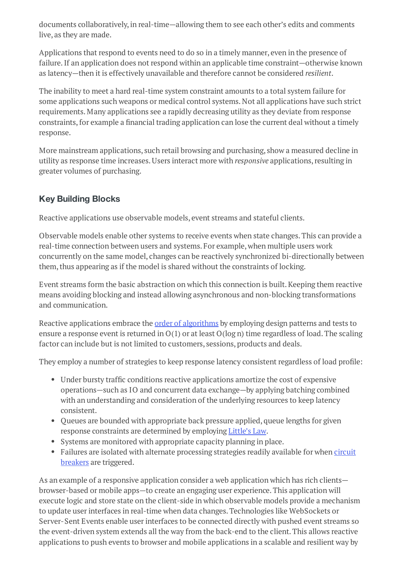documents collaboratively, in real-time—allowing them to see each other's edits and comments live, as they are made.

Applications that respond to events need to do so in a timely manner, even in the presence of failure. If an application does not respond within an applicable time constraint—otherwise known as latency—then it is effectively unavailable and therefore cannot be considered *resilient*.

The inability to meet a hard real-time system constraint amounts to a total system failure for some applications such weapons or medical control systems. Not all applications have such strict requirements. Many applications see a rapidly decreasing utility as they deviate from response constraints, for example a financial trading application can lose the current deal without a timely response.

More mainstream applications, such retail browsing and purchasing, show a measured decline in utility as response time increases.Users interact more with *responsive* applications,resulting in greater volumes of purchasing.

### **Key Building Blocks**

Reactive applications use observable models, event streams and stateful clients.

Observable models enable other systems to receive events when state changes.This can provide a real-time connection between users and systems. For example,when multiple users work concurrently on the same model, changes can be reactively synchronized bi-directionally between them, thus appearing as if the model is shared without the constraints of locking.

Event streams form the basic abstraction on which this connection is built.Keeping them reactive means avoiding blocking and instead allowing asynchronous and non-blocking transformations and communication.

Reactive applications embrace the order of [algorithms](http://en.wikipedia.org/wiki/Big_O_notation) by employing design patterns and tests to ensure a response event is returned in  $O(1)$  or at least  $O(log n)$  time regardless of load. The scaling factor can include but is not limited to customers, sessions, products and deals.

They employ a number of strategies to keep response latency consistent regardless of load profile:

- Under bursty traffic conditions reactive applications amortize the cost of expensive operations—such as IO and concurrent data exchange—by applying batching combined with an understanding and consideration of the underlying resources to keep latency consistent.
- Queues are bounded with appropriate back pressure applied, queue lengths for given response constraints are determined by employing [Little's](http://en.wikipedia.org/wiki/Little%27s_law) Law.
- Systems are monitored with appropriate capacity planning in place.
- Failures are isolated with alternate [processing](http://en.wikipedia.org/wiki/Circuit_breaker_design_pattern) strategies readily available for when circuit breakers are triggered.

As an example of a responsive application consider a web application which has rich clients browser-based or mobile apps—to create an engaging user experience.This application will execute logic and store state on the client-side in which observable models provide a mechanism to update userinterfaces in real-time when data changes.Technologies like WebSockets or Server-Sent Events enable user interfaces to be connected directly with pushed event streams so the event-driven system extends all the way from the back-end to the client.This allows reactive applications to push events to browser and mobile applications in a scalable and resilient way by